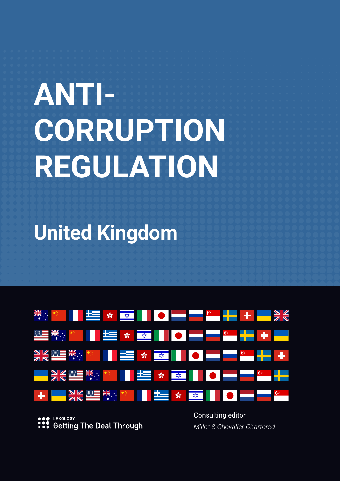# **ANTI-CORRUPTION REGULATION**

**United Kingdom**



**Getting The Deal Through** 

*Miller & Chevalier Chartered*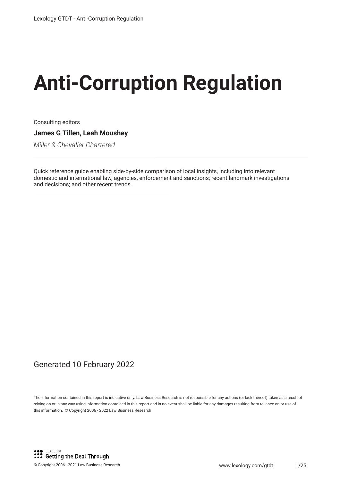# **Anti-Corruption Regulation**

Consulting editors **James G Tillen, Leah Moushey**

*Miller & Chevalier Chartered*

Quick reference guide enabling side-by-side comparison of local insights, including into relevant domestic and international law, agencies, enforcement and sanctions; recent landmark investigations and decisions; and other recent trends.

### Generated 10 February 2022

The information contained in this report is indicative only. Law Business Research is not responsible for any actions (or lack thereof) taken as a result of relying on or in any way using information contained in this report and in no event shall be liable for any damages resulting from reliance on or use of this information. © Copyright 2006 - 2022 Law Business Research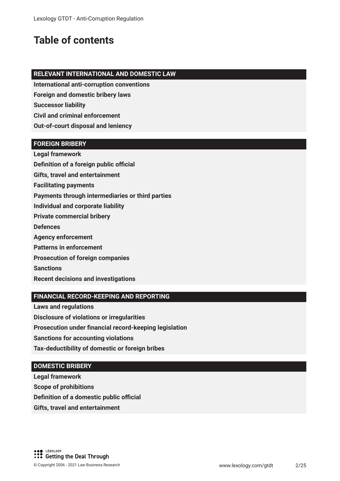# **Table of contents**

#### **RELEVANT INTERNATIONAL AND DOMESTIC LAW**

**International anti-corruption conventions**

**Foreign and domestic bribery laws**

**Successor liability**

**Civil and criminal enforcement**

**Out-of-court disposal and leniency**

#### **FOREIGN BRIBERY**

**Legal framework Definition of a foreign public official** 

**Gifts, travel and entertainment** 

**Facilitating payments**

**Payments through intermediaries or third parties**

**Individual and corporate liability**

**Private commercial bribery**

**Defences**

**Agency enforcement**

**Patterns in enforcement**

**Prosecution of foreign companies**

**Sanctions**

**Recent decisions and investigations**

#### **FINANCIAL RECORD-KEEPING AND REPORTING**

**Laws and regulations**

**Disclosure of violations or irregularities**

**Prosecution under fnancial record-keeping legislation**

**Sanctions for accounting violations**

**Tax-deductibility of domestic or foreign bribes**

#### **DOMESTIC BRIBERY**

**Legal framework**

**Scope of prohibitions**

**Definition of a domestic public official** 

**Gifts, travel and entertainment**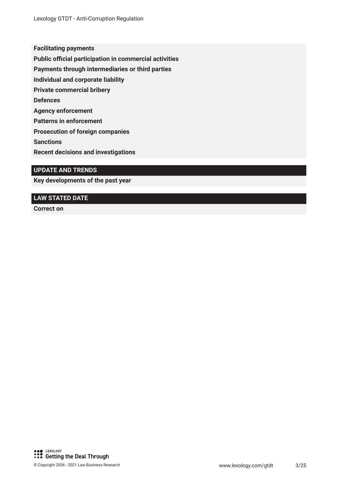**Facilitating payments**

**Public official participation in commercial activities** 

**Payments through intermediaries or third parties**

**Individual and corporate liability**

**Private commercial bribery**

**Defences**

**Agency enforcement**

**Patterns in enforcement**

**Prosecution of foreign companies**

**Sanctions**

**Recent decisions and investigations**

#### **UPDATE AND TRENDS**

**Key developments of the past year**

#### **LAW STATED DATE**

**Correct on**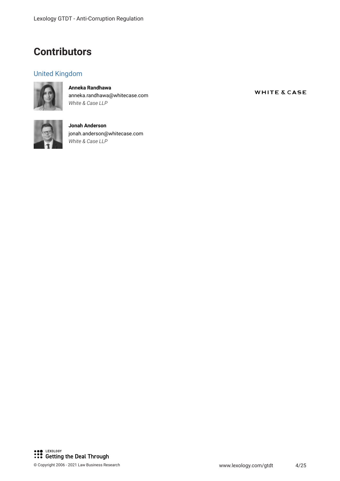## **Contributors**

#### United Kingdom



**Anneka Randhawa** anneka.randhawa@whitecase.com *White & Case LLP*



**Jonah Anderson** jonah.anderson@whitecase.com *White & Case LLP*

**WHITE & CASE**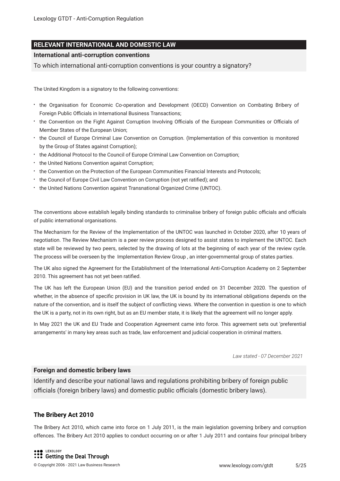#### **RELEVANT INTERNATIONAL AND DOMESTIC LAW**

#### **International anti-corruption conventions**

To which international anti-corruption conventions is your country a signatory?

The United Kingdom is a signatory to the following conventions:

- the Organisation for Economic Co-operation and Development (OECD) Convention on Combating Bribery of Foreign Public Officials in International Business Transactions;
- the Convention on the Fight Against Corruption Involving Officials of the European Communities or Officials of Member States of the European Union;
- the Council of Europe Criminal Law Convention on Corruption. (Implementation of this convention is monitored by the Group of States against Corruption);
- the Additional Protocol to the Council of Europe Criminal Law Convention on Corruption;
- \* the United Nations Convention against Corruption;
- the Convention on the Protection of the European Communities Financial Interests and Protocols;
- the Council of Europe Civil Law Convention on Corruption (not yet ratifed); and
- $\cdot$  the United Nations Convention against Transnational Organized Crime (UNTOC).

The conventions above establish legally binding standards to criminalise bribery of foreign public officials and officials of public international organisations.

The Mechanism for the Review of the Implementation of the UNTOC was launched in October 2020, after 10 years of negotiation. The Review Mechanism is a peer review process designed to assist states to implement the UNTOC. Each state will be reviewed by two peers, selected by the drawing of lots at the beginning of each year of the review cycle. The process will be overseen by the Implementation Review Group , an inter-governmental group of states parties.

The UK also signed the Agreement for the Establishment of the International Anti-Corruption Academy on 2 September 2010. This agreement has not yet been ratifed.

The UK has left the European Union (EU) and the transition period ended on 31 December 2020. The question of whether, in the absence of specifc provision in UK law, the UK is bound by its international obligations depends on the nature of the convention, and is itself the subject of conficting views. Where the convention in question is one to which the UK is a party, not in its own right, but as an EU member state, it is likely that the agreement will no longer apply.

In May 2021 the UK and EU Trade and Cooperation Agreement came into force. This agreement sets out 'preferential arrangements' in many key areas such as trade, law enforcement and judicial cooperation in criminal matters.

*Law stated - 07 December 2021*

#### **Foreign and domestic bribery laws**

Identify and describe your national laws and regulations prohibiting bribery of foreign public officials (foreign bribery laws) and domestic public officials (domestic bribery laws).

#### **The Bribery Act 2010**

The Bribery Act 2010, which came into force on 1 July 2011, is the main legislation governing bribery and corruption offences. The Bribery Act 2010 applies to conduct occurring on or after 1 July 2011 and contains four principal bribery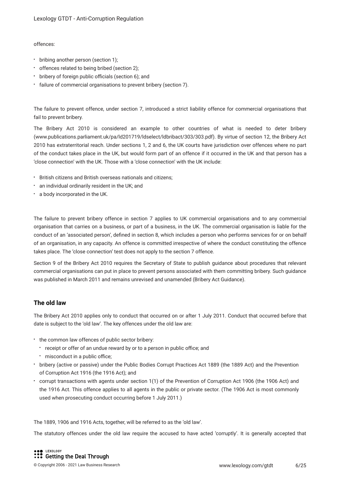#### offences:

- bribing another person (section 1);
- offences related to being bribed (section 2);
- \* bribery of foreign public officials (section 6); and
- failure of commercial organisations to prevent bribery (section 7).

The failure to prevent offence, under section 7, introduced a strict liability offence for commercial organisations that fail to prevent bribery.

The Bribery Act 2010 is considered an example to other countries of what is needed to deter bribery (www.publications.parliament.uk/pa/ld201719/ldselect/ldbribact/303/303.pdf). By virtue of section 12, the Bribery Act 2010 has extraterritorial reach. Under sections 1, 2 and 6, the UK courts have jurisdiction over offences where no part of the conduct takes place in the UK, but would form part of an offence if it occurred in the UK and that person has a 'close connection' with the UK. Those with a 'close connection' with the UK include:

- British citizens and British overseas nationals and citizens;
- an individual ordinarily resident in the UK; and
- a body incorporated in the UK.

The failure to prevent bribery offence in section 7 applies to UK commercial organisations and to any commercial organisation that carries on a business, or part of a business, in the UK. The commercial organisation is liable for the conduct of an 'associated person', defned in section 8, which includes a person who performs services for or on behalf of an organisation, in any capacity. An offence is committed irrespective of where the conduct constituting the offence takes place. The 'close connection' test does not apply to the section 7 offence.

Section 9 of the Bribery Act 2010 requires the Secretary of State to publish guidance about procedures that relevant commercial organisations can put in place to prevent persons associated with them committing bribery. Such guidance was published in March 2011 and remains unrevised and unamended (Bribery Act Guidance).

#### **The old law**

The Bribery Act 2010 applies only to conduct that occurred on or after 1 July 2011. Conduct that occurred before that date is subject to the 'old law'. The key offences under the old law are:

- the common law offences of public sector bribery:
	- receipt or offer of an undue reward by or to a person in public office; and
	- misconduct in a public office:
- bribery (active or passive) under the Public Bodies Corrupt Practices Act 1889 (the 1889 Act) and the Prevention of Corruption Act 1916 (the 1916 Act); and
- corrupt transactions with agents under section 1(1) of the Prevention of Corruption Act 1906 (the 1906 Act) and the 1916 Act. This offence applies to all agents in the public or private sector. (The 1906 Act is most commonly used when prosecuting conduct occurring before 1 July 2011.)

The 1889, 1906 and 1916 Acts, together, will be referred to as the 'old law'.

The statutory offences under the old law require the accused to have acted 'corruptly'. It is generally accepted that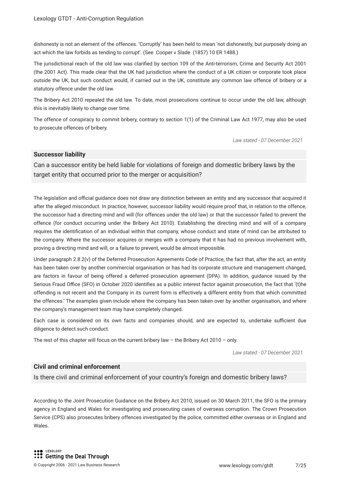dishonesty is not an element of the offences. 'Corruptly' has been held to mean 'not dishonestly, but purposely doing an act which the law forbids as tending to corrupt'. (See Cooper v Slade (1857) 10 ER 1488.)

The jurisdictional reach of the old law was clarifed by section 109 of the Anti-terrorism, Crime and Security Act 2001 (the 2001 Act). This made clear that the UK had jurisdiction where the conduct of a UK citizen or corporate took place outside the UK, but such conduct would, if carried out in the UK, constitute any common law offence of bribery or a statutory offence under the old law.

The Bribery Act 2010 repealed the old law. To date, most prosecutions continue to occur under the old law, although this is inevitably likely to change over time.

The offence of conspiracy to commit bribery, contrary to section 1(1) of the Criminal Law Act 1977, may also be used to prosecute offences of bribery.

*Law stated - 07 December 2021*

#### **Successor liability**

Can a successor entity be held liable for violations of foreign and domestic bribery laws by the target entity that occurred prior to the merger or acquisition?

The legislation and official guidance does not draw any distinction between an entity and any successor that acquired it after the alleged misconduct. In practice, however, successor liability would require proof that, in relation to the offence, the successor had a directing mind and will (for offences under the old law) or that the successor failed to prevent the offence (for conduct occurring under the Bribery Act 2010). Establishing the directing mind and will of a company requires the identifcation of an individual within that company, whose conduct and state of mind can be attributed to the company. Where the successor acquires or merges with a company that it has had no previous involvement with, proving a directing mind and will, or a failure to prevent, would be almost impossible.

Under paragraph 2.8.2(v) of the Deferred Prosecution Agreements Code of Practice, the fact that, after the act, an entity has been taken over by another commercial organisation or has had its corporate structure and management changed, are factors in favour of being offered a deferred prosecution agreement (DPA). In addition, guidance issued by the Serious Fraud Office (SFO) in October 2020 identifies as a public interest factor against prosecution, the fact that '(t)he offending is not recent and the Company in its current form is effectively a different entity from that which committed the offences.' The examples given include where the company has been taken over by another organisation, and where the company's management team may have completely changed.

Each case is considered on its own facts and companies should, and are expected to, undertake sufficient due diligence to detect such conduct.

The rest of this chapter will focus on the current bribery law  $-$  the Bribery Act 2010  $-$  only.

*Law stated - 07 December 2021*

#### **Civil and criminal enforcement**

Is there civil and criminal enforcement of your country's foreign and domestic bribery laws?

According to the Joint Prosecution Guidance on the Bribery Act 2010, issued on 30 March 2011, the SFO is the primary agency in England and Wales for investigating and prosecuting cases of overseas corruption. The Crown Prosecution Service (CPS) also prosecutes bribery offences investigated by the police, committed either overseas or in England and Wales.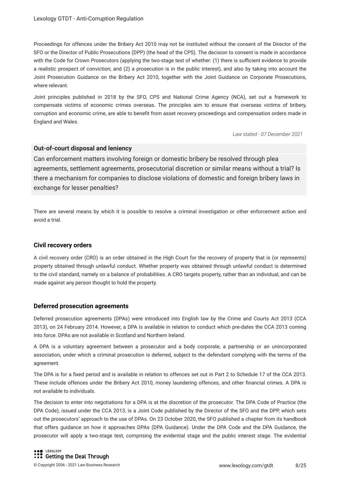Proceedings for offences under the Bribery Act 2010 may not be instituted without the consent of the Director of the SFO or the Director of Public Prosecutions (DPP) (the head of the CPS). The decision to consent is made in accordance with the Code for Crown Prosecutors (applying the two-stage test of whether: (1) there is sufficient evidence to provide a realistic prospect of conviction; and (2) a prosecution is in the public interest), and also by taking into account the Joint Prosecution Guidance on the Bribery Act 2010, together with the Joint Guidance on Corporate Prosecutions, where relevant.

Joint principles published in 2018 by the SFO, CPS and National Crime Agency (NCA), set out a framework to compensate victims of economic crimes overseas. The principles aim to ensure that overseas victims of bribery, corruption and economic crime, are able to beneft from asset recovery proceedings and compensation orders made in England and Wales.

*Law stated - 07 December 2021*

#### **Out-of-court disposal and leniency**

Can enforcement matters involving foreign or domestic bribery be resolved through plea agreements, settlement agreements, prosecutorial discretion or similar means without a trial? Is there a mechanism for companies to disclose violations of domestic and foreign bribery laws in exchange for lesser penalties?

There are several means by which it is possible to resolve a criminal investigation or other enforcement action and avoid a trial.

#### **Civil recovery orders**

A civil recovery order (CRO) is an order obtained in the High Court for the recovery of property that is (or represents) property obtained through unlawful conduct. Whether property was obtained through unlawful conduct is determined to the civil standard, namely on a balance of probabilities. A CRO targets property, rather than an individual, and can be made against any person thought to hold the property.

#### **Deferred prosecution agreements**

Deferred prosecution agreements (DPAs) were introduced into English law by the Crime and Courts Act 2013 (CCA 2013), on 24 February 2014. However, a DPA is available in relation to conduct which pre-dates the CCA 2013 coming into force. DPAs are not available in Scotland and Northern Ireland.

A DPA is a voluntary agreement between a prosecutor and a body corporate, a partnership or an unincorporated association, under which a criminal prosecution is deferred, subject to the defendant complying with the terms of the agreement.

The DPA is for a fxed period and is available in relation to offences set out in Part 2 to Schedule 17 of the CCA 2013. These include offences under the Bribery Act 2010, money laundering offences, and other fnancial crimes. A DPA is not available to individuals.

The decision to enter into negotiations for a DPA is at the discretion of the prosecutor. The DPA Code of Practice (the DPA Code), issued under the CCA 2013, is a Joint Code published by the Director of the SFO and the DPP, which sets out the prosecutors' approach to the use of DPAs. On 23 October 2020, the SFO published a chapter from its handbook that offers guidance on how it approaches DPAs (DPA Guidance). Under the DPA Code and the DPA Guidance, the prosecutor will apply a two-stage test, comprising the evidential stage and the public interest stage. The evidential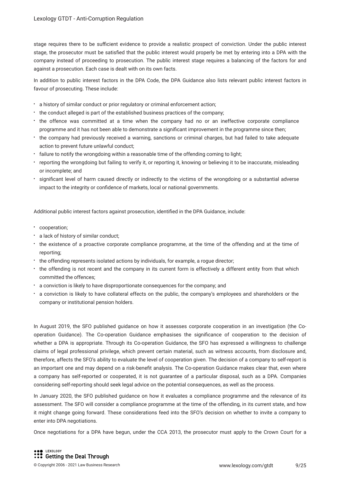stage requires there to be sufficient evidence to provide a realistic prospect of conviction. Under the public interest stage, the prosecutor must be satisfed that the public interest would properly be met by entering into a DPA with the company instead of proceeding to prosecution. The public interest stage requires a balancing of the factors for and against a prosecution. Each case is dealt with on its own facts.

In addition to public interest factors in the DPA Code, the DPA Guidance also lists relevant public interest factors in favour of prosecuting. These include:

- a history of similar conduct or prior regulatory or criminal enforcement action;
- the conduct alleged is part of the established business practices of the company;
- the offence was committed at a time when the company had no or an ineffective corporate compliance programme and it has not been able to demonstrate a signifcant improvement in the programme since then;
- the company had previously received a warning, sanctions or criminal charges, but had failed to take adequate action to prevent future unlawful conduct;
- failure to notify the wrongdoing within a reasonable time of the offending coming to light;
- reporting the wrongdoing but failing to verify it, or reporting it, knowing or believing it to be inaccurate, misleading or incomplete; and
- signifcant level of harm caused directly or indirectly to the victims of the wrongdoing or a substantial adverse impact to the integrity or confdence of markets, local or national governments.

Additional public interest factors against prosecution, identifed in the DPA Guidance, include:

- cooperation;
- a lack of history of similar conduct;
- the existence of a proactive corporate compliance programme, at the time of the offending and at the time of reporting;
- the offending represents isolated actions by individuals, for example, a rogue director;
- the offending is not recent and the company in its current form is effectively a different entity from that which committed the offences;
- a conviction is likely to have disproportionate consequences for the company; and
- a conviction is likely to have collateral effects on the public, the company's employees and shareholders or the company or institutional pension holders.

In August 2019, the SFO published guidance on how it assesses corporate cooperation in an investigation (the Cooperation Guidance). The Co-operation Guidance emphasises the signifcance of cooperation to the decision of whether a DPA is appropriate. Through its Co-operation Guidance, the SFO has expressed a willingness to challenge claims of legal professional privilege, which prevent certain material, such as witness accounts, from disclosure and, therefore, affects the SFO's ability to evaluate the level of cooperation given. The decision of a company to self-report is an important one and may depend on a risk-beneft analysis. The Co-operation Guidance makes clear that, even where a company has self-reported or cooperated, it is not guarantee of a particular disposal, such as a DPA. Companies considering self-reporting should seek legal advice on the potential consequences, as well as the process.

In January 2020, the SFO published guidance on how it evaluates a compliance programme and the relevance of its assessment. The SFO will consider a compliance programme at the time of the offending, in its current state, and how it might change going forward. These considerations feed into the SFO's decision on whether to invite a company to enter into DPA negotiations.

Once negotiations for a DPA have begun, under the CCA 2013, the prosecutor must apply to the Crown Court for a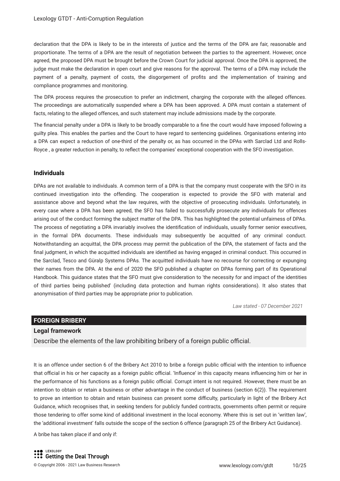declaration that the DPA is likely to be in the interests of justice and the terms of the DPA are fair, reasonable and proportionate. The terms of a DPA are the result of negotiation between the parties to the agreement. However, once agreed, the proposed DPA must be brought before the Crown Court for judicial approval. Once the DPA is approved, the judge must make the declaration in open court and give reasons for the approval. The terms of a DPA may include the payment of a penalty, payment of costs, the disgorgement of profts and the implementation of training and compliance programmes and monitoring.

The DPA process requires the prosecution to prefer an indictment, charging the corporate with the alleged offences. The proceedings are automatically suspended where a DPA has been approved. A DPA must contain a statement of facts, relating to the alleged offences, and such statement may include admissions made by the corporate.

The fnancial penalty under a DPA is likely to be broadly comparable to a fne the court would have imposed following a guilty plea. This enables the parties and the Court to have regard to sentencing guidelines. Organisations entering into a DPA can expect a reduction of one-third of the penalty or, as has occurred in the DPAs with Sarclad Ltd and Rolls-Royce , a greater reduction in penalty, to refect the companies' exceptional cooperation with the SFO investigation.

#### **Individuals**

DPAs are not available to individuals. A common term of a DPA is that the company must cooperate with the SFO in its continued investigation into the offending. The cooperation is expected to provide the SFO with material and assistance above and beyond what the law requires, with the objective of prosecuting individuals. Unfortunately, in every case where a DPA has been agreed, the SFO has failed to successfully prosecute any individuals for offences arising out of the conduct forming the subject matter of the DPA. This has highlighted the potential unfairness of DPAs. The process of negotiating a DPA invariably involves the identifcation of individuals, usually former senior executives, in the formal DPA documents. These individuals may subsequently be acquitted of any criminal conduct. Notwithstanding an acquittal, the DPA process may permit the publication of the DPA, the statement of facts and the fnal judgment, in which the acquitted individuals are identifed as having engaged in criminal conduct. This occurred in the Sarclad, Tesco and Güralp Systems DPAs. The acquitted individuals have no recourse for correcting or expunging their names from the DPA. At the end of 2020 the SFO published a chapter on DPAs forming part of its Operational Handbook. This guidance states that the SFO must give consideration to 'the necessity for and impact of the identities of third parties being published' (including data protection and human rights considerations). It also states that anonymisation of third parties may be appropriate prior to publication.

*Law stated - 07 December 2021*

#### **FOREIGN BRIBERY**

#### **Legal framework**

Describe the elements of the law prohibiting bribery of a foreign public official.

It is an offence under section 6 of the Bribery Act 2010 to bribe a foreign public official with the intention to influence that official in his or her capacity as a foreign public official. 'Influence' in this capacity means influencing him or her in the performance of his functions as a foreign public official. Corrupt intent is not required. However, there must be an intention to obtain or retain a business or other advantage in the conduct of business (section 6(2)). The requirement to prove an intention to obtain and retain business can present some difculty, particularly in light of the Bribery Act Guidance, which recognises that, in seeking tenders for publicly funded contracts, governments often permit or require those tendering to offer some kind of additional investment in the local economy. Where this is set out in 'written law', the 'additional investment' falls outside the scope of the section 6 offence (paragraph 25 of the Bribery Act Guidance).

A bribe has taken place if and only if: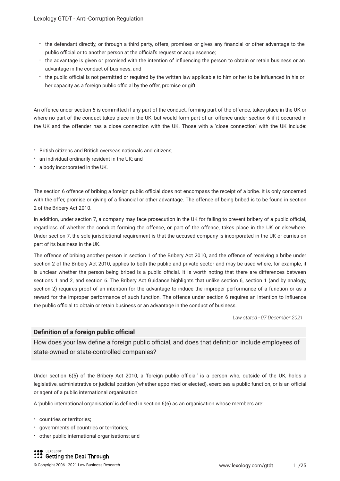- the defendant directly, or through a third party, offers, promises or gives any fnancial or other advantage to the public official or to another person at the official's request or acquiescence;
- the advantage is given or promised with the intention of infuencing the person to obtain or retain business or an advantage in the conduct of business; and
- the public official is not permitted or required by the written law applicable to him or her to be influenced in his or her capacity as a foreign public official by the offer, promise or gift.

An offence under section 6 is committed if any part of the conduct, forming part of the offence, takes place in the UK or where no part of the conduct takes place in the UK, but would form part of an offence under section 6 if it occurred in the UK and the offender has a close connection with the UK. Those with a 'close connection' with the UK include:

- British citizens and British overseas nationals and citizens;
- an individual ordinarily resident in the UK; and
- a body incorporated in the UK.

The section 6 offence of bribing a foreign public official does not encompass the receipt of a bribe. It is only concerned with the offer, promise or giving of a fnancial or other advantage. The offence of being bribed is to be found in section 2 of the Bribery Act 2010.

In addition, under section 7, a company may face prosecution in the UK for failing to prevent bribery of a public official, regardless of whether the conduct forming the offence, or part of the offence, takes place in the UK or elsewhere. Under section 7, the sole jurisdictional requirement is that the accused company is incorporated in the UK or carries on part of its business in the UK.

The offence of bribing another person in section 1 of the Bribery Act 2010, and the offence of receiving a bribe under section 2 of the Bribery Act 2010, applies to both the public and private sector and may be used where, for example, it is unclear whether the person being bribed is a public official. It is worth noting that there are differences between sections 1 and 2, and section 6. The Bribery Act Guidance highlights that unlike section 6, section 1 (and by analogy, section 2) requires proof of an intention for the advantage to induce the improper performance of a function or as a reward for the improper performance of such function. The offence under section 6 requires an intention to infuence the public official to obtain or retain business or an advantage in the conduct of business.

*Law stated - 07 December 2021*

#### **Definition of a foreign public official**

How does your law define a foreign public official, and does that definition include employees of state-owned or state-controlled companies?

Under section 6(5) of the Bribery Act 2010, a 'foreign public official' is a person who, outside of the UK, holds a legislative, administrative or judicial position (whether appointed or elected), exercises a public function, or is an official or agent of a public international organisation.

A 'public international organisation' is defned in section 6(6) as an organisation whose members are:

- countries or territories;
- governments of countries or territories;
- other public international organisations; and

LEXOLOGY **S** Getting the Deal Through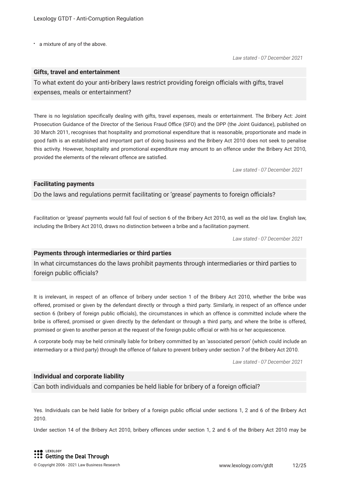a mixture of any of the above.

#### **Gifts, travel and entertainment**

To what extent do your anti-bribery laws restrict providing foreign officials with gifts, travel expenses, meals or entertainment?

There is no legislation specifcally dealing with gifts, travel expenses, meals or entertainment. The Bribery Act: Joint Prosecution Guidance of the Director of the Serious Fraud Office (SFO) and the DPP (the Joint Guidance), published on 30 March 2011, recognises that hospitality and promotional expenditure that is reasonable, proportionate and made in good faith is an established and important part of doing business and the Bribery Act 2010 does not seek to penalise this activity. However, hospitality and promotional expenditure may amount to an offence under the Bribery Act 2010, provided the elements of the relevant offence are satisfed.

*Law stated - 07 December 2021*

#### **Facilitating payments**

Do the laws and regulations permit facilitating or 'grease' payments to foreign officials?

Facilitation or 'grease' payments would fall foul of section 6 of the Bribery Act 2010, as well as the old law. English law, including the Bribery Act 2010, draws no distinction between a bribe and a facilitation payment.

*Law stated - 07 December 2021*

#### **Payments through intermediaries or third parties**

In what circumstances do the laws prohibit payments through intermediaries or third parties to foreign public officials?

It is irrelevant, in respect of an offence of bribery under section 1 of the Bribery Act 2010, whether the bribe was offered, promised or given by the defendant directly or through a third party. Similarly, in respect of an offence under section 6 (bribery of foreign public officials), the circumstances in which an offence is committed include where the bribe is offered, promised or given directly by the defendant or through a third party, and where the bribe is offered, promised or given to another person at the request of the foreign public official or with his or her acquiescence.

A corporate body may be held criminally liable for bribery committed by an 'associated person' (which could include an intermediary or a third party) through the offence of failure to prevent bribery under section 7 of the Bribery Act 2010.

*Law stated - 07 December 2021*

#### **Individual and corporate liability**

Can both individuals and companies be held liable for bribery of a foreign official?

Yes. Individuals can be held liable for bribery of a foreign public official under sections 1, 2 and 6 of the Bribery Act 2010.

Under section 14 of the Bribery Act 2010, bribery offences under section 1, 2 and 6 of the Bribery Act 2010 may be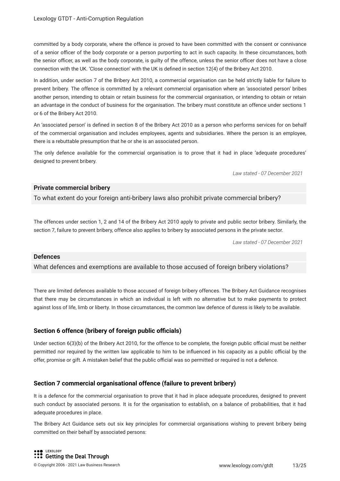committed by a body corporate, where the offence is proved to have been committed with the consent or connivance of a senior officer of the body corporate or a person purporting to act in such capacity. In these circumstances, both the senior officer, as well as the body corporate, is quilty of the offence, unless the senior officer does not have a close connection with the UK. 'Close connection' with the UK is defned in section 12(4) of the Bribery Act 2010.

In addition, under section 7 of the Bribery Act 2010, a commercial organisation can be held strictly liable for failure to prevent bribery. The offence is committed by a relevant commercial organisation where an 'associated person' bribes another person, intending to obtain or retain business for the commercial organisation, or intending to obtain or retain an advantage in the conduct of business for the organisation. The bribery must constitute an offence under sections 1 or 6 of the Bribery Act 2010.

An 'associated person' is defned in section 8 of the Bribery Act 2010 as a person who performs services for on behalf of the commercial organisation and includes employees, agents and subsidiaries. Where the person is an employee, there is a rebuttable presumption that he or she is an associated person.

The only defence available for the commercial organisation is to prove that it had in place 'adequate procedures' designed to prevent bribery.

*Law stated - 07 December 2021*

#### **Private commercial bribery**

To what extent do your foreign anti-bribery laws also prohibit private commercial bribery?

The offences under section 1, 2 and 14 of the Bribery Act 2010 apply to private and public sector bribery. Similarly, the section 7, failure to prevent bribery, offence also applies to bribery by associated persons in the private sector.

*Law stated - 07 December 2021*

#### **Defences**

What defences and exemptions are available to those accused of foreign bribery violations?

There are limited defences available to those accused of foreign bribery offences. The Bribery Act Guidance recognises that there may be circumstances in which an individual is left with no alternative but to make payments to protect against loss of life, limb or liberty. In those circumstances, the common law defence of duress is likely to be available.

#### **Section 6 offence (bribery of foreign public officials)**

Under section  $6(3)(b)$  of the Bribery Act 2010, for the offence to be complete, the foreign public official must be neither permitted nor required by the written law applicable to him to be influenced in his capacity as a public official by the offer, promise or gift. A mistaken belief that the public official was so permitted or required is not a defence.

#### **Section 7 commercial organisational offence (failure to prevent bribery)**

It is a defence for the commercial organisation to prove that it had in place adequate procedures, designed to prevent such conduct by associated persons. It is for the organisation to establish, on a balance of probabilities, that it had adequate procedures in place.

The Bribery Act Guidance sets out six key principles for commercial organisations wishing to prevent bribery being committed on their behalf by associated persons: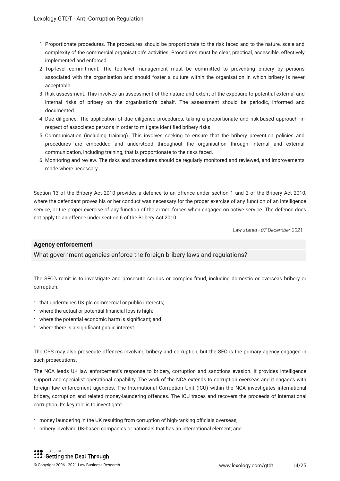- 1. Proportionate procedures. The procedures should be proportionate to the risk faced and to the nature, scale and complexity of the commercial organisation's activities. Procedures must be clear, practical, accessible, effectively implemented and enforced.
- 2. Top-level commitment. The top-level management must be committed to preventing bribery by persons associated with the organisation and should foster a culture within the organisation in which bribery is never acceptable.
- 3. Risk assessment. This involves an assessment of the nature and extent of the exposure to potential external and internal risks of bribery on the organisation's behalf. The assessment should be periodic, informed and documented.
- 4. Due diligence. The application of due diligence procedures, taking a proportionate and risk-based approach, in respect of associated persons in order to mitigate identifed bribery risks.
- 5. Communication (including training). This involves seeking to ensure that the bribery prevention policies and procedures are embedded and understood throughout the organisation through internal and external communication, including training, that is proportionate to the risks faced.
- 6. Monitoring and review. The risks and procedures should be regularly monitored and reviewed, and improvements made where necessary.

Section 13 of the Bribery Act 2010 provides a defence to an offence under section 1 and 2 of the Bribery Act 2010, where the defendant proves his or her conduct was necessary for the proper exercise of any function of an intelligence service, or the proper exercise of any function of the armed forces when engaged on active service. The defence does not apply to an offence under section 6 of the Bribery Act 2010.

*Law stated - 07 December 2021*

#### **Agency enforcement**

What government agencies enforce the foreign bribery laws and regulations?

The SFO's remit is to investigate and prosecute serious or complex fraud, including domestic or overseas bribery or corruption:

- that undermines UK plc commercial or public interests;
- where the actual or potential fnancial loss is high;
- where the potential economic harm is signifcant; and
- where there is a signifcant public interest.

The CPS may also prosecute offences involving bribery and corruption, but the SFO is the primary agency engaged in such prosecutions.

The NCA leads UK law enforcement's response to bribery, corruption and sanctions evasion. It provides intelligence support and specialist operational capability. The work of the NCA extends to corruption overseas and it engages with foreign law enforcement agencies. The International Corruption Unit (ICU) within the NCA investigates international bribery, corruption and related money-laundering offences. The ICU traces and recovers the proceeds of international corruption. Its key role is to investigate:

- \* money laundering in the UK resulting from corruption of high-ranking officials overseas;
- bribery involving UK-based companies or nationals that has an international element; and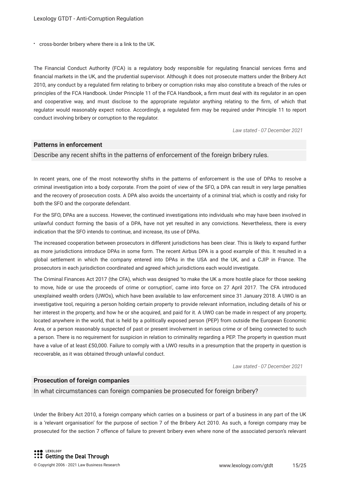cross-border bribery where there is a link to the UK.

The Financial Conduct Authority (FCA) is a regulatory body responsible for regulating fnancial services frms and fnancial markets in the UK, and the prudential supervisor. Although it does not prosecute matters under the Bribery Act 2010, any conduct by a regulated frm relating to bribery or corruption risks may also constitute a breach of the rules or principles of the FCA Handbook. Under Principle 11 of the FCA Handbook, a frm must deal with its regulator in an open and cooperative way, and must disclose to the appropriate regulator anything relating to the frm, of which that regulator would reasonably expect notice. Accordingly, a regulated frm may be required under Principle 11 to report conduct involving bribery or corruption to the regulator.

*Law stated - 07 December 2021*

#### **Patterns in enforcement**

Describe any recent shifts in the patterns of enforcement of the foreign bribery rules.

In recent years, one of the most noteworthy shifts in the patterns of enforcement is the use of DPAs to resolve a criminal investigation into a body corporate. From the point of view of the SFO, a DPA can result in very large penalties and the recovery of prosecution costs. A DPA also avoids the uncertainty of a criminal trial, which is costly and risky for both the SFO and the corporate defendant.

For the SFO, DPAs are a success. However, the continued investigations into individuals who may have been involved in unlawful conduct forming the basis of a DPA, have not yet resulted in any convictions. Nevertheless, there is every indication that the SFO intends to continue, and increase, its use of DPAs.

The increased cooperation between prosecutors in different jurisdictions has been clear. This is likely to expand further as more jurisdictions introduce DPAs in some form. The recent Airbus DPA is a good example of this. It resulted in a global settlement in which the company entered into DPAs in the USA and the UK, and a CJIP in France. The prosecutors in each jurisdiction coordinated and agreed which jurisdictions each would investigate.

The Criminal Finances Act 2017 (the CFA), which was designed 'to make the UK a more hostile place for those seeking to move, hide or use the proceeds of crime or corruption', came into force on 27 April 2017. The CFA introduced unexplained wealth orders (UWOs), which have been available to law enforcement since 31 January 2018. A UWO is an investigative tool, requiring a person holding certain property to provide relevant information, including details of his or her interest in the property, and how he or she acquired, and paid for it. A UWO can be made in respect of any property, located anywhere in the world, that is held by a politically exposed person (PEP) from outside the European Economic Area, or a person reasonably suspected of past or present involvement in serious crime or of being connected to such a person. There is no requirement for suspicion in relation to criminality regarding a PEP. The property in question must have a value of at least £50,000. Failure to comply with a UWO results in a presumption that the property in question is recoverable, as it was obtained through unlawful conduct.

*Law stated - 07 December 2021*

#### **Prosecution of foreign companies**

In what circumstances can foreign companies be prosecuted for foreign bribery?

Under the Bribery Act 2010, a foreign company which carries on a business or part of a business in any part of the UK is a 'relevant organisation' for the purpose of section 7 of the Bribery Act 2010. As such, a foreign company may be prosecuted for the section 7 offence of failure to prevent bribery even where none of the associated person's relevant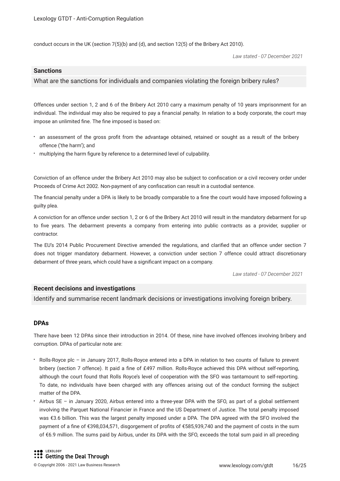conduct occurs in the UK (section 7(5)(b) and (d), and section 12(5) of the Bribery Act 2010).

*Law stated - 07 December 2021*

#### **Sanctions**

#### What are the sanctions for individuals and companies violating the foreign bribery rules?

Offences under section 1, 2 and 6 of the Bribery Act 2010 carry a maximum penalty of 10 years imprisonment for an individual. The individual may also be required to pay a fnancial penalty. In relation to a body corporate, the court may impose an unlimited fine. The fine imposed is based on:

- an assessment of the gross proft from the advantage obtained, retained or sought as a result of the bribery offence ('the harm'); and
- multiplying the harm figure by reference to a determined level of culpability.

Conviction of an offence under the Bribery Act 2010 may also be subject to confscation or a civil recovery order under Proceeds of Crime Act 2002. Non-payment of any confscation can result in a custodial sentence.

The fnancial penalty under a DPA is likely to be broadly comparable to a fne the court would have imposed following a guilty plea.

A conviction for an offence under section 1, 2 or 6 of the Bribery Act 2010 will result in the mandatory debarment for up to fve years. The debarment prevents a company from entering into public contracts as a provider, supplier or contractor.

The EU's 2014 Public Procurement Directive amended the regulations, and clarifed that an offence under section 7 does not trigger mandatory debarment. However, a conviction under section 7 offence could attract discretionary debarment of three years, which could have a signifcant impact on a company.

*Law stated - 07 December 2021*

#### **Recent decisions and investigations**

Identify and summarise recent landmark decisions or investigations involving foreign bribery.

#### **DPAs**

There have been 12 DPAs since their introduction in 2014. Of these, nine have involved offences involving bribery and corruption. DPAs of particular note are:

- Rolls-Royce plc in January 2017, Rolls-Royce entered into a DPA in relation to two counts of failure to prevent bribery (section 7 offence). It paid a fne of £497 million. Rolls-Royce achieved this DPA without self-reporting, although the court found that Rolls Royce's level of cooperation with the SFO was tantamount to self-reporting. To date, no individuals have been charged with any offences arising out of the conduct forming the subject matter of the DPA.
- Airbus SE in January 2020, Airbus entered into a three-year DPA with the SFO, as part of a global settlement involving the Parquet National Financier in France and the US Department of Justice. The total penalty imposed was €3.6 billion. This was the largest penalty imposed under a DPA. The DPA agreed with the SFO involved the payment of a fne of €398,034,571, disgorgement of profts of €585,939,740 and the payment of costs in the sum of €6.9 million. The sums paid by Airbus, under its DPA with the SFO, exceeds the total sum paid in all preceding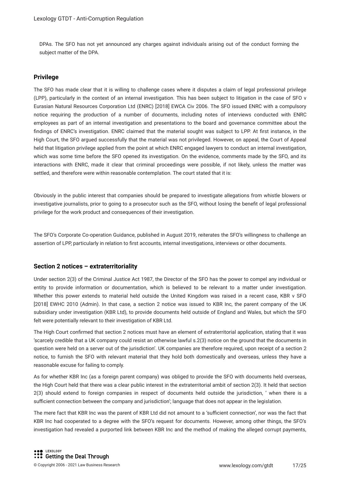DPAs. The SFO has not yet announced any charges against individuals arising out of the conduct forming the subject matter of the DPA.

#### **Privilege**

The SFO has made clear that it is willing to challenge cases where it disputes a claim of legal professional privilege (LPP), particularly in the context of an internal investigation. This has been subject to litigation in the case of SFO v Eurasian Natural Resources Corporation Ltd (ENRC) [2018] EWCA Civ 2006. The SFO issued ENRC with a compulsory notice requiring the production of a number of documents, including notes of interviews conducted with ENRC employees as part of an internal investigation and presentations to the board and governance committee about the findings of ENRC's investigation. ENRC claimed that the material sought was subject to LPP. At first instance, in the High Court, the SFO argued successfully that the material was not privileged. However, on appeal, the Court of Appeal held that litigation privilege applied from the point at which ENRC engaged lawyers to conduct an internal investigation, which was some time before the SFO opened its investigation. On the evidence, comments made by the SFO, and its interactions with ENRC, made it clear that criminal proceedings were possible, if not likely, unless the matter was settled, and therefore were within reasonable contemplation. The court stated that it is:

Obviously in the public interest that companies should be prepared to investigate allegations from whistle blowers or investigative journalists, prior to going to a prosecutor such as the SFO, without losing the beneft of legal professional privilege for the work product and consequences of their investigation.

The SFO's Corporate Co-operation Guidance, published in August 2019, reiterates the SFO's willingness to challenge an assertion of LPP, particularly in relation to first accounts, internal investigations, interviews or other documents.

#### **Section 2 notices – extraterritoriality**

Under section 2(3) of the Criminal Justice Act 1987, the Director of the SFO has the power to compel any individual or entity to provide information or documentation, which is believed to be relevant to a matter under investigation. Whether this power extends to material held outside the United Kingdom was raised in a recent case, KBR v SFO [2018] EWHC 2010 (Admin). In that case, a section 2 notice was issued to KBR Inc, the parent company of the UK subsidiary under investigation (KBR Ltd), to provide documents held outside of England and Wales, but which the SFO felt were potentially relevant to their investigation of KBR Ltd.

The High Court confrmed that section 2 notices must have an element of extraterritorial application, stating that it was 'scarcely credible that a UK company could resist an otherwise lawful s.2(3) notice on the ground that the documents in question were held on a server out of the jurisdiction'. UK companies are therefore required, upon receipt of a section 2 notice, to furnish the SFO with relevant material that they hold both domestically and overseas, unless they have a reasonable excuse for failing to comply.

As for whether KBR Inc (as a foreign parent company) was obliged to provide the SFO with documents held overseas, the High Court held that there was a clear public interest in the extraterritorial ambit of section 2(3). It held that section 2(3) should extend to foreign companies in respect of documents held outside the jurisdiction, ' when there is a sufficient connection between the company and jurisdiction'; language that does not appear in the legislation.

The mere fact that KBR Inc was the parent of KBR Ltd did not amount to a 'sufficient connection', nor was the fact that KBR Inc had cooperated to a degree with the SFO's request for documents. However, among other things, the SFO's investigation had revealed a purported link between KBR Inc and the method of making the alleged corrupt payments,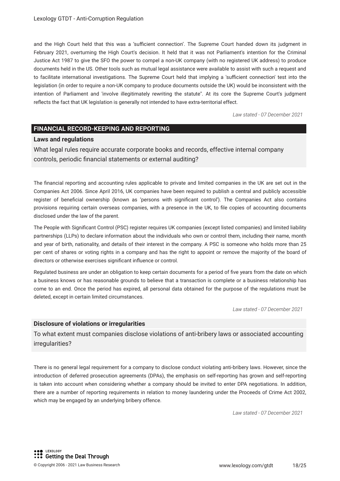and the High Court held that this was a 'sufficient connection'. The Supreme Court handed down its judgment in February 2021, overturning the High Court's decision. It held that it was not Parliament's intention for the Criminal Justice Act 1987 to give the SFO the power to compel a non-UK company (with no registered UK address) to produce documents held in the US. Other tools such as mutual legal assistance were available to assist with such a request and to facilitate international investigations. The Supreme Court held that implying a 'sufficient connection' test into the legislation (in order to require a non-UK company to produce documents outside the UK) would be inconsistent with the intention of Parliament and 'involve illegitimately rewriting the statute". At its core the Supreme Court's judgment refects the fact that UK legislation is generally not intended to have extra-territorial effect.

*Law stated - 07 December 2021*

#### **FINANCIAL RECORD-KEEPING AND REPORTING**

#### **Laws and regulations**

What legal rules require accurate corporate books and records, effective internal company controls, periodic fnancial statements or external auditing?

The fnancial reporting and accounting rules applicable to private and limited companies in the UK are set out in the Companies Act 2006. Since April 2016, UK companies have been required to publish a central and publicly accessible register of benefcial ownership (known as 'persons with signifcant control'). The Companies Act also contains provisions requiring certain overseas companies, with a presence in the UK, to fle copies of accounting documents disclosed under the law of the parent.

The People with Signifcant Control (PSC) register requires UK companies (except listed companies) and limited liability partnerships (LLPs) to declare information about the individuals who own or control them, including their name, month and year of birth, nationality, and details of their interest in the company. A PSC is someone who holds more than 25 per cent of shares or voting rights in a company and has the right to appoint or remove the majority of the board of directors or otherwise exercises signifcant infuence or control.

Regulated business are under an obligation to keep certain documents for a period of fve years from the date on which a business knows or has reasonable grounds to believe that a transaction is complete or a business relationship has come to an end. Once the period has expired, all personal data obtained for the purpose of the regulations must be deleted, except in certain limited circumstances.

*Law stated - 07 December 2021*

#### **Disclosure of violations or irregularities**

To what extent must companies disclose violations of anti-bribery laws or associated accounting irregularities?

There is no general legal requirement for a company to disclose conduct violating anti-bribery laws. However, since the introduction of deferred prosecution agreements (DPAs), the emphasis on self-reporting has grown and self-reporting is taken into account when considering whether a company should be invited to enter DPA negotiations. In addition, there are a number of reporting requirements in relation to money laundering under the Proceeds of Crime Act 2002, which may be engaged by an underlying bribery offence.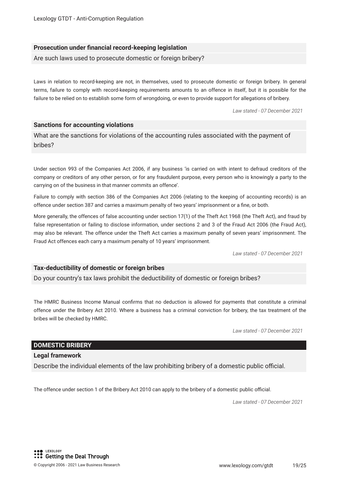#### **Prosecution under fnancial record-keeping legislation**

Are such laws used to prosecute domestic or foreign bribery?

Laws in relation to record-keeping are not, in themselves, used to prosecute domestic or foreign bribery. In general terms, failure to comply with record-keeping requirements amounts to an offence in itself, but it is possible for the failure to be relied on to establish some form of wrongdoing, or even to provide support for allegations of bribery.

*Law stated - 07 December 2021*

#### **Sanctions for accounting violations**

What are the sanctions for violations of the accounting rules associated with the payment of bribes?

Under section 993 of the Companies Act 2006, if any business 'is carried on with intent to defraud creditors of the company or creditors of any other person, or for any fraudulent purpose, every person who is knowingly a party to the carrying on of the business in that manner commits an offence'.

Failure to comply with section 386 of the Companies Act 2006 (relating to the keeping of accounting records) is an offence under section 387 and carries a maximum penalty of two years' imprisonment or a fne, or both.

More generally, the offences of false accounting under section 17(1) of the Theft Act 1968 (the Theft Act), and fraud by false representation or failing to disclose information, under sections 2 and 3 of the Fraud Act 2006 (the Fraud Act), may also be relevant. The offence under the Theft Act carries a maximum penalty of seven years' imprisonment. The Fraud Act offences each carry a maximum penalty of 10 years' imprisonment.

*Law stated - 07 December 2021*

#### **Tax-deductibility of domestic or foreign bribes**

Do your country's tax laws prohibit the deductibility of domestic or foreign bribes?

The HMRC Business Income Manual confrms that no deduction is allowed for payments that constitute a criminal offence under the Bribery Act 2010. Where a business has a criminal conviction for bribery, the tax treatment of the bribes will be checked by HMRC.

*Law stated - 07 December 2021*

#### **DOMESTIC BRIBERY**

#### **Legal framework**

Describe the individual elements of the law prohibiting bribery of a domestic public official.

The offence under section 1 of the Bribery Act 2010 can apply to the bribery of a domestic public official.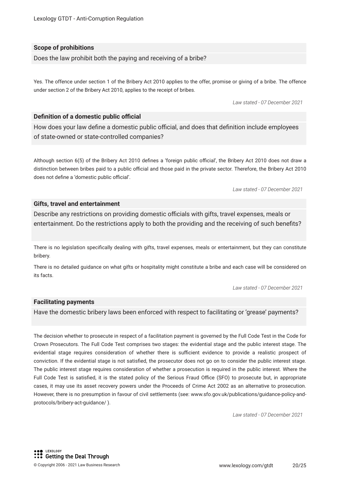#### **Scope of prohibitions**

Does the law prohibit both the paying and receiving of a bribe?

Yes. The offence under section 1 of the Bribery Act 2010 applies to the offer, promise or giving of a bribe. The offence under section 2 of the Bribery Act 2010, applies to the receipt of bribes.

*Law stated - 07 December 2021*

#### **Definition of a domestic public official**

How does your law define a domestic public official, and does that definition include employees of state-owned or state-controlled companies?

Although section 6(5) of the Bribery Act 2010 defines a 'foreign public official', the Bribery Act 2010 does not draw a distinction between bribes paid to a public official and those paid in the private sector. Therefore, the Bribery Act 2010 does not define a 'domestic public official'.

*Law stated - 07 December 2021*

#### **Gifts, travel and entertainment**

Describe any restrictions on providing domestic officials with gifts, travel expenses, meals or entertainment. Do the restrictions apply to both the providing and the receiving of such benefts?

There is no legislation specifcally dealing with gifts, travel expenses, meals or entertainment, but they can constitute bribery.

There is no detailed guidance on what gifts or hospitality might constitute a bribe and each case will be considered on its facts.

*Law stated - 07 December 2021*

#### **Facilitating payments**

Have the domestic bribery laws been enforced with respect to facilitating or 'grease' payments?

The decision whether to prosecute in respect of a facilitation payment is governed by the Full Code Test in the Code for Crown Prosecutors. The Full Code Test comprises two stages: the evidential stage and the public interest stage. The evidential stage requires consideration of whether there is sufficient evidence to provide a realistic prospect of conviction. If the evidential stage is not satisfed, the prosecutor does not go on to consider the public interest stage. The public interest stage requires consideration of whether a prosecution is required in the public interest. Where the Full Code Test is satisfied, it is the stated policy of the Serious Fraud Office (SFO) to prosecute but, in appropriate cases, it may use its asset recovery powers under the Proceeds of Crime Act 2002 as an alternative to prosecution. However, there is no presumption in favour of civil settlements (see: www.sfo.gov.uk/publications/guidance-policy-andprotocols/bribery-act-guidance/ ).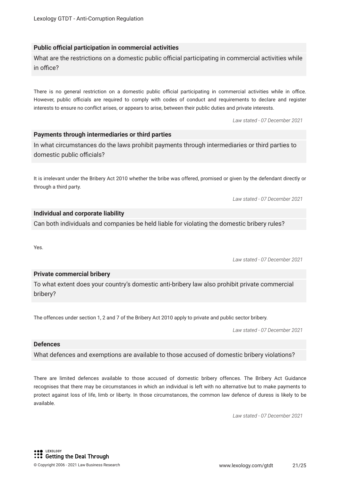#### **Public official participation in commercial activities**

What are the restrictions on a domestic public official participating in commercial activities while in office?

There is no general restriction on a domestic public official participating in commercial activities while in office. However, public officials are required to comply with codes of conduct and requirements to declare and reqister interests to ensure no confict arises, or appears to arise, between their public duties and private interests.

*Law stated - 07 December 2021*

#### **Payments through intermediaries or third parties**

In what circumstances do the laws prohibit payments through intermediaries or third parties to domestic public officials?

It is irrelevant under the Bribery Act 2010 whether the bribe was offered, promised or given by the defendant directly or through a third party.

*Law stated - 07 December 2021*

#### **Individual and corporate liability**

Can both individuals and companies be held liable for violating the domestic bribery rules?

Yes.

*Law stated - 07 December 2021*

#### **Private commercial bribery**

To what extent does your country's domestic anti-bribery law also prohibit private commercial bribery?

The offences under section 1, 2 and 7 of the Bribery Act 2010 apply to private and public sector bribery.

*Law stated - 07 December 2021*

#### **Defences**

What defences and exemptions are available to those accused of domestic bribery violations?

There are limited defences available to those accused of domestic bribery offences. The Bribery Act Guidance recognises that there may be circumstances in which an individual is left with no alternative but to make payments to protect against loss of life, limb or liberty. In those circumstances, the common law defence of duress is likely to be available.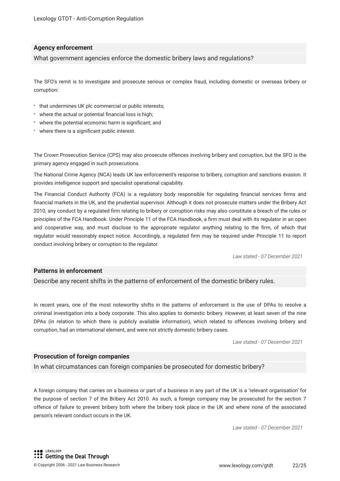#### **Agency enforcement**

What government agencies enforce the domestic bribery laws and regulations?

The SFO's remit is to investigate and prosecute serious or complex fraud, including domestic or overseas bribery or corruption:

- $\cdot$  that undermines UK plc commercial or public interests;
- where the actual or potential fnancial loss is high;
- where the potential economic harm is signifcant; and
- where there is a signifcant public interest.

The Crown Prosecution Service (CPS) may also prosecute offences involving bribery and corruption, but the SFO is the primary agency engaged in such prosecutions.

The National Crime Agency (NCA) leads UK law enforcement's response to bribery, corruption and sanctions evasion. It provides intelligence support and specialist operational capability.

The Financial Conduct Authority (FCA) is a regulatory body responsible for regulating fnancial services frms and fnancial markets in the UK, and the prudential supervisor. Although it does not prosecute matters under the Bribery Act 2010, any conduct by a regulated frm relating to bribery or corruption risks may also constitute a breach of the rules or principles of the FCA Handbook. Under Principle 11 of the FCA Handbook, a frm must deal with its regulator in an open and cooperative way, and must disclose to the appropriate regulator anything relating to the frm, of which that regulator would reasonably expect notice. Accordingly, a regulated frm may be required under Principle 11 to report conduct involving bribery or corruption to the regulator.

*Law stated - 07 December 2021*

#### **Patterns in enforcement**

Describe any recent shifts in the patterns of enforcement of the domestic bribery rules.

In recent years, one of the most noteworthy shifts in the patterns of enforcement is the use of DPAs to resolve a criminal investigation into a body corporate. This also applies to domestic bribery. However, at least seven of the nine DPAs (in relation to which there is publicly available information), which related to offences involving bribery and corruption, had an international element, and were not strictly domestic bribery cases.

*Law stated - 07 December 2021*

#### **Prosecution of foreign companies**

In what circumstances can foreign companies be prosecuted for domestic bribery?

A foreign company that carries on a business or part of a business in any part of the UK is a 'relevant organisation' for the purpose of section 7 of the Bribery Act 2010. As such, a foreign company may be prosecuted for the section 7 offence of failure to prevent bribery both where the bribery took place in the UK and where none of the associated person's relevant conduct occurs in the UK.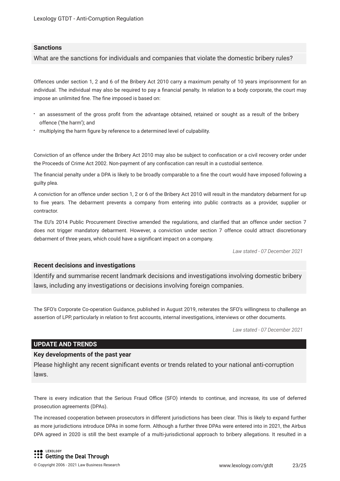#### **Sanctions**

What are the sanctions for individuals and companies that violate the domestic bribery rules?

Offences under section 1, 2 and 6 of the Bribery Act 2010 carry a maximum penalty of 10 years imprisonment for an individual. The individual may also be required to pay a fnancial penalty. In relation to a body corporate, the court may impose an unlimited fne. The fne imposed is based on:

- an assessment of the gross proft from the advantage obtained, retained or sought as a result of the bribery offence ('the harm'); and
- multiplying the harm fgure by reference to a determined level of culpability.

Conviction of an offence under the Bribery Act 2010 may also be subject to confscation or a civil recovery order under the Proceeds of Crime Act 2002. Non-payment of any confscation can result in a custodial sentence.

The fnancial penalty under a DPA is likely to be broadly comparable to a fne the court would have imposed following a guilty plea.

A conviction for an offence under section 1, 2 or 6 of the Bribery Act 2010 will result in the mandatory debarment for up to five years. The debarment prevents a company from entering into public contracts as a provider, supplier or contractor.

The EU's 2014 Public Procurement Directive amended the regulations, and clarifed that an offence under section 7 does not trigger mandatory debarment. However, a conviction under section 7 offence could attract discretionary debarment of three years, which could have a signifcant impact on a company.

*Law stated - 07 December 2021*

#### **Recent decisions and investigations**

Identify and summarise recent landmark decisions and investigations involving domestic bribery laws, including any investigations or decisions involving foreign companies.

The SFO's Corporate Co-operation Guidance, published in August 2019, reiterates the SFO's willingness to challenge an assertion of LPP, particularly in relation to frst accounts, internal investigations, interviews or other documents.

*Law stated - 07 December 2021*

#### **UPDATE AND TRENDS**

#### **Key developments of the past year**

Please highlight any recent signifcant events or trends related to your national anti-corruption laws.

There is every indication that the Serious Fraud Office (SFO) intends to continue, and increase, its use of deferred prosecution agreements (DPAs).

The increased cooperation between prosecutors in different jurisdictions has been clear. This is likely to expand further as more jurisdictions introduce DPAs in some form. Although a further three DPAs were entered into in 2021, the Airbus DPA agreed in 2020 is still the best example of a multi-jurisdictional approach to bribery allegations. It resulted in a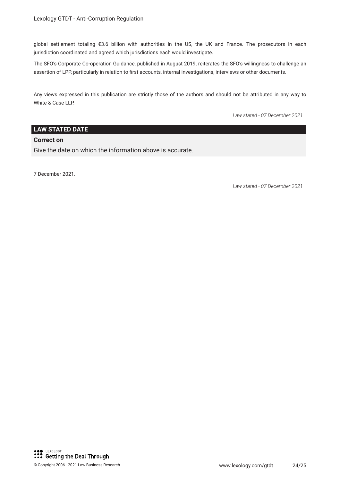global settlement totaling €3.6 billion with authorities in the US, the UK and France. The prosecutors in each jurisdiction coordinated and agreed which jurisdictions each would investigate.

The SFO's Corporate Co-operation Guidance, published in August 2019, reiterates the SFO's willingness to challenge an assertion of LPP, particularly in relation to first accounts, internal investigations, interviews or other documents.

Any views expressed in this publication are strictly those of the authors and should not be attributed in any way to White & Case LLP.

*Law stated - 07 December 2021*

#### **LAW STATED DATE**

#### **Correct on**

Give the date on which the information above is accurate.

7 December 2021.